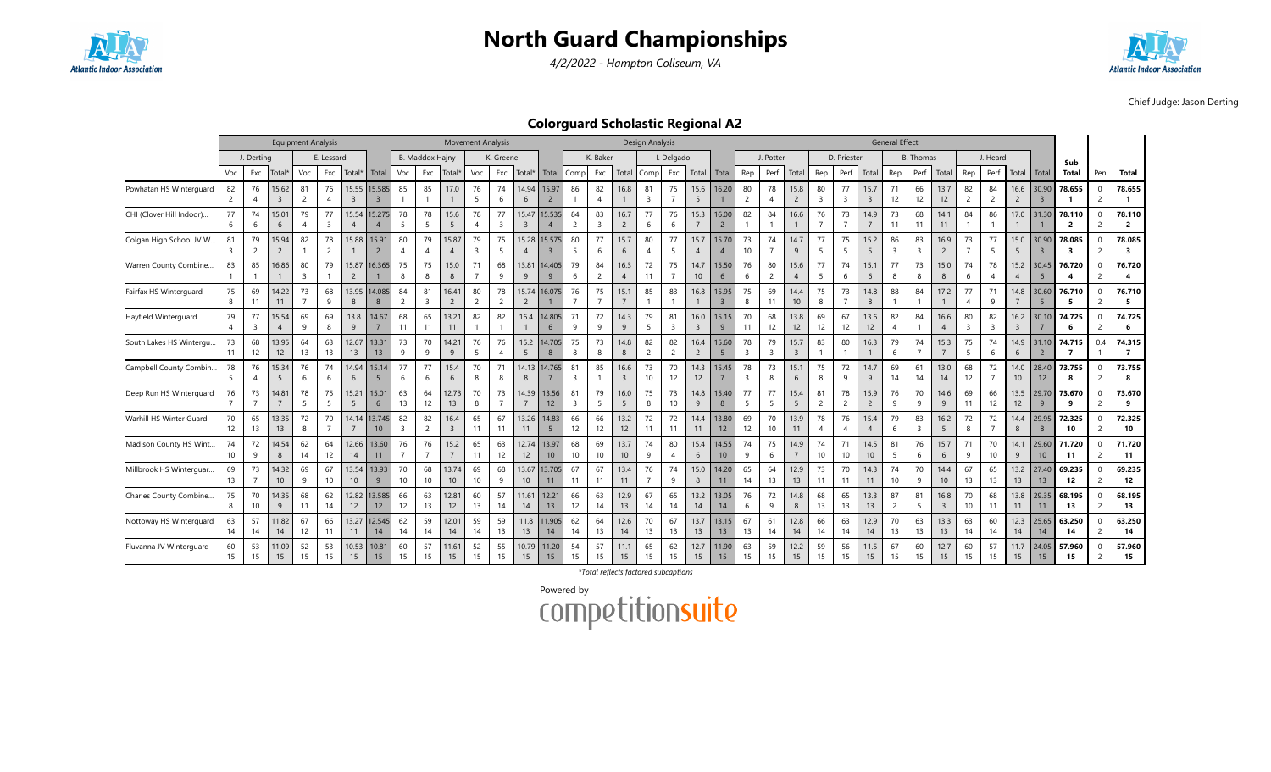

4/2/2022 - Hampton Coliseum, VA



Chief Judge: Jason Derting

### Colorguard Scholastic Regional A2

|                          |          |                      |                         | <b>Equipment Analysis</b> |                      |                          |                           |                      |                        | <b>Movement Analysis</b> |                        |                               |                                  |                          |                      |                      |                        | <b>Design Analysis</b>        |                             |                        |                         |          |                               |                          |                               |                      |                        | <b>General Effect</b> |                      |                          |                      |                      |                        |                         |                                   |                               |                                   |
|--------------------------|----------|----------------------|-------------------------|---------------------------|----------------------|--------------------------|---------------------------|----------------------|------------------------|--------------------------|------------------------|-------------------------------|----------------------------------|--------------------------|----------------------|----------------------|------------------------|-------------------------------|-----------------------------|------------------------|-------------------------|----------|-------------------------------|--------------------------|-------------------------------|----------------------|------------------------|-----------------------|----------------------|--------------------------|----------------------|----------------------|------------------------|-------------------------|-----------------------------------|-------------------------------|-----------------------------------|
|                          |          | J. Derting           |                         |                           | E. Lessard           |                          |                           |                      | <b>B. Maddox Hainv</b> |                          |                        | K. Greene                     |                                  |                          |                      | K. Baker             |                        |                               | I. Delgado                  |                        |                         |          | J. Potter                     |                          |                               | D. Priester          |                        |                       | <b>B.</b> Thomas     |                          |                      | J. Heard             |                        |                         | Sub                               |                               |                                   |
|                          | Voc      | Exc                  | Total                   | Voc                       | Exc                  | Total*                   | Total                     | Voc                  | Exc                    | Total*                   | Voc                    | Exc                           | Total                            | Total                    | Comp                 | Exc                  | Total                  | Comp                          | Exc                         | Total                  | Total                   | Rep      | Perf                          | Total                    | Rep                           | Perf                 | Total                  | Rep                   | Perf                 | Total                    | Rep                  | Perf                 | Total                  | Total                   | <b>Total</b>                      | Pen                           | <b>Total</b>                      |
| Powhatan HS Winterguard  | 82       | 76                   | 15.62<br>$\overline{3}$ | 81<br>$\overline{2}$      | 76                   | 15.55<br>$\overline{3}$  | 15.585                    | 85                   | 85                     | 17.0                     | 76<br>5                | 74<br>6                       | 14.94<br>6                       | 15.97<br>$\overline{2}$  | 86                   | 82                   | 16.8                   | 81<br>$\overline{\mathbf{3}}$ | 75                          | 15.6<br>5              | 16.20                   | 80       | 78                            | 15.8<br>$\overline{2}$   | 80<br>$\overline{\mathbf{3}}$ | 77<br>$\overline{3}$ | 15.7<br>$\overline{3}$ | 71<br>12              | 66<br>12             | 13.7<br>12               | 82<br>$\overline{2}$ | 84<br>$\overline{2}$ | 16.6<br>$\overline{2}$ | 30.90<br>$\overline{3}$ | 78.655                            | $\mathbf 0$<br>$\overline{2}$ | 78.655                            |
| CHI (Clover Hill Indoor) | 77<br>6  | 74<br>6              | 15.01<br>6              | 79<br>$\overline{4}$      | 77<br>3              | 15.54<br>$\overline{4}$  | 15.275                    | 78<br>5              | 78<br>5                | 15.6<br>5                | 78                     | 77<br>$\overline{\mathbf{3}}$ | 15.47<br>$\overline{\mathbf{3}}$ | 15.535<br>$\overline{4}$ | 84<br>$\overline{2}$ | 83<br>$\overline{3}$ | 16.7<br>$\overline{2}$ | 77<br>6                       | 76<br>6                     | 15.3                   | 16.00<br>$\overline{2}$ | 82       | 84                            | 16.6                     | 76                            | 73<br>$\overline{7}$ | 14.9                   | 73<br>11              | 68<br>11             | 14.1<br>11               | 84                   | 86                   | 17.0                   | 31.30                   | 78.110<br>$\overline{2}$          | $\Omega$<br>$\overline{2}$    | 78.110<br>$\overline{2}$          |
| Colgan High School JV W  | 81       | 79                   | 15.94<br>$\overline{2}$ | 82                        | 78<br>$\overline{2}$ | 15.88                    | 15.91                     | 80                   | 79<br>$\overline{A}$   | 15.87<br>$\overline{4}$  | 79<br>$\overline{3}$   | 75<br>5                       | 15.28                            | 5.57<br>$\overline{3}$   | 80<br>5              | 77<br>6              | 15.7<br>6              | 80<br>$\overline{A}$          | 77<br>5                     | 15.7<br>$\overline{A}$ | 15.70<br>$\overline{4}$ | 73<br>10 | 74<br>$\overline{7}$          | 14.7<br>9                | 77<br>5                       | 75<br>5              | 15.2<br>5              | 86<br>$\overline{3}$  | 83<br>$\overline{3}$ | 16.9<br>$\overline{2}$   | 73                   | 77<br>5              | 15.0<br>5              | 30.90<br>$\overline{3}$ | 78.085<br>$\overline{\mathbf{3}}$ | $\Omega$<br>$\overline{2}$    | 78.085<br>$\overline{\mathbf{3}}$ |
| Warren County Combine.   | 83       | 85                   | 16.86                   | 80<br>$\overline{3}$      | 79                   | 15.87<br>$\overline{2}$  | 16.365                    | 75<br>8              | 75<br>8                | 15.0<br>8                | 71                     | 68<br>-9                      | $13.8^{\circ}$<br>9              | 4.405<br>9               | 79<br>6              | 84<br>$\overline{2}$ | 16.3<br>$\overline{4}$ | 72<br>11                      | 75                          | 14.7<br>10             | 15.50<br>6              | 76<br>-6 | 80<br>$\overline{2}$          | 15.6<br>$\overline{4}$   | 77<br>5                       | 74<br>6              | 15.1<br>6              | 77<br>8               | 73<br>8              | 15.0<br>8                | 74<br>6              | 78<br>$\overline{4}$ | 15.2<br>$\overline{A}$ | 30.45<br>6              | 76.720<br>$\overline{\mathbf{4}}$ | $\Omega$<br>$\overline{2}$    | 76.720<br>$\overline{\mathbf{4}}$ |
| Fairfax HS Winterguard   | 75<br>8  | 69<br>11             | 14.22<br>11             | 73<br>$\overline{7}$      | 68<br>9              | 13.95<br>8               | 14.085<br>8               | 84<br>$\overline{2}$ | 81<br>$\overline{3}$   | 16.41<br>$\overline{2}$  | 80<br>$\overline{2}$   | 78<br>$\overline{2}$          | 15.74<br>$\overline{2}$          | 16.075                   | 76                   | 75<br>$\overline{7}$ | 15.1                   | 85                            | 83                          | 16.8                   | 15.95<br>$\overline{3}$ | 75<br>8  | 69<br>11                      | 14.4<br>10 <sup>10</sup> | 75<br>8                       | 73<br>$\overline{7}$ | 14.8<br>8              | 88                    | 84                   | 17.2                     | 77<br>$\overline{A}$ | 71<br>9              | 14.8                   | 30.60<br>$\overline{5}$ | 76.710<br>-5                      | $\Omega$                      | 76.710<br>- 5                     |
| Hayfield Winterguard     | 79       | 77<br>$\overline{3}$ | 15.54<br>$\overline{4}$ | 69<br>9                   | 69<br>8              | 13.8<br>9                | 14.67                     | 68<br>11             | 65<br>11               | 13.21<br>11              | 82                     | 82                            | 16.4                             | 4.805<br>6               | 71<br>9              | 72<br>9              | 14.3<br>9              | 79<br>5                       | 81<br>$\overline{3}$        | 16.0<br>$\overline{3}$ | 15.15<br>9              | 70<br>11 | 68<br>12                      | 13.8<br>12               | 69<br>12                      | 67<br>12             | 13.6<br>12             | 82                    | 84                   | 6.6                      | 80<br>$\overline{3}$ | 82<br>$\overline{3}$ | 16.2<br>$\overline{3}$ | 30.10                   | 74.725<br>6                       | $\mathbf 0$<br>$\overline{2}$ | 74.725<br>6                       |
| South Lakes HS Wintergu  | 73<br>11 | 68<br>12             | 13.95<br>12             | 64<br>13                  | 63<br>13             | 12.67<br>13              | 13.31<br>13               | 73<br>9              | 70<br>9                | 14.21<br>9               | 76<br>5                | 76<br>$\overline{4}$          | 15.2<br>5                        | 4.705<br>8               | 75<br>8              | 73<br>8              | 14.8<br>8              | 82<br>$\overline{2}$          | 82<br>$\overline{2}$        | 16.4<br>$\overline{2}$ | 15.60<br>5              | 78<br>3  | 79<br>$\overline{\mathbf{3}}$ | 15.7<br>$\overline{3}$   | 83                            | 80<br>$\mathbf{1}$   | 16.3                   | 79<br>6               | 74<br>$\overline{7}$ | 15.3                     | 75<br>- 5            | 74<br>6              | 14.9<br>6              | 31.10<br>$\overline{2}$ | 74.715<br>$\overline{7}$          | 0.4                           | 74.315<br>$\overline{7}$          |
| Campbell County Combin   | 78<br>5  | 76                   | 15.34<br>5              | 76<br>6                   | 74<br>6              | 14.94<br>6               | 15.14                     | 77<br>6              | 77<br>6                | 15.4<br>6                | 70                     | 71<br>8                       | 14.13<br>8                       | 4.765                    | 81<br>$\overline{3}$ | 85                   | 16.6<br>$\overline{3}$ | 73<br>10                      | 70<br>12                    | 14.3<br>12             | 15.45                   | 78<br>3  | 73<br>8                       | 15.1<br>6                | 75<br>8                       | 72<br>9              | 14.7<br>9              | 69<br>14              | 61<br>14             | 13.0<br>14               | 68<br>12             | 72                   | 14.0<br>10             | 28.40<br>12             | 73.755<br>8                       | $\mathbf 0$<br>2              | 73.755<br>8                       |
| Deep Run HS Winterguard  | 76       | 73                   | 14.81                   | 78<br>5                   | 75<br>5              | 15.21<br>5               | 15.01<br>6                | 63<br>13             | 64<br>12               | 12.73<br>13              | 70                     | 73                            | 14.39                            | 13.56<br>12              | 81<br>3              | 79<br>5              | 16.0<br>-5             | 75<br>8                       | 73<br>10                    | 14.8<br>9              | 15.40<br>8              | 77<br>-5 | 77<br>5                       | 15.4<br>5                | 81<br>$\overline{c}$          | 78<br>$\overline{2}$ | 15.9<br>$\overline{2}$ | 76<br>-9              | 70<br>9              | 14.6<br>9                | 69<br>11             | 66<br>12             | 13.5<br>12             | 29.70<br>9              | 73.670<br>9                       | $\Omega$                      | 73.670<br>9                       |
| Warhill HS Winter Guard  | 70<br>12 | 65<br>13             | 13.35<br>13             | 72<br>8                   | 70                   | 14.14<br>$\overline{7}$  | 13.745<br>10 <sup>°</sup> | 82<br>3              | 82<br>$\overline{2}$   | 16.4<br>3                | 65<br>11               | 67<br>11                      | 13.26<br>11                      | 14.83<br>5               | 66<br>12             | 66<br>12             | 13.2<br>12             | 72<br>11                      | 72<br>11                    | 14.4<br>11             | 13.80<br>12             | 69<br>12 | 70<br>10                      | 13.9<br>11               | 78<br>$\overline{A}$          | 76<br>$\overline{4}$ | 15.4<br>$\overline{A}$ | 79<br>-6              | 83<br>$\overline{3}$ | 16.2<br>5                | 72<br>-8             | 72                   | 14.4<br>8              | 29.95<br>$\mathbf{8}$   | 72.325<br>10                      | $\Omega$                      | 72.325<br>10                      |
| Madison County HS Wint   | 74<br>10 | 72<br>9              | 14.54<br>8              | 62<br>14                  | 64<br>12             | 12.66<br>14              | 13.60<br>11               | 76                   | 76<br>$\overline{7}$   | 15.2<br>$\overline{7}$   | 65<br>11               | 63<br>12                      | 12.74<br>12                      | 13.97<br>10              | 68<br>10             | 69<br>10             | 13.7<br>10             | 74<br>9                       | 80<br>$\boldsymbol{\Delta}$ | 15.4<br>6              | 14.55<br>10             | 74<br>9  | 75<br>6                       | 14.9                     | 74<br>10                      | 71<br>10             | 14.5<br>10             | 81<br>5               | 76<br>6              | 15.7<br>6                | 71<br>9              | 70<br>10             | 14.1<br>$\overline{9}$ | 29.60<br>10             | 71.720<br>11                      | $\Omega$<br>$\overline{2}$    | 71.720<br>11                      |
| Millbrook HS Winterquar. | 69<br>13 | 73                   | 14.32<br>10             | 69<br>9                   | 67<br>10             | 13.54<br>10 <sup>°</sup> | 13.93<br>9                | 70<br>10             | 68<br>10               | 13.74<br>10              | 69<br>10 <sup>10</sup> | 68<br>9                       | 13.67<br>10 <sup>10</sup>        | 3.705<br>11              | 67<br>11             | 67<br>11             | 13.4<br>11             | 76                            | 74<br>9                     | 15.0<br>8              | 14.20<br>11             | 65<br>14 | 64<br>13                      | 12.9<br>13               | 73<br>11                      | 70<br>11             | 14.3<br>11             | 74<br>10              | 70<br>9              | 14.4<br>10 <sup>10</sup> | 67<br>13             | 65<br>13             | 13.2<br>13             | 27.40<br>13             | 69.235<br>12                      |                               | 69.235<br>12                      |
| Charles County Combine.  | 75<br>8  | 70<br>10             | 14.35<br>9              | 68<br>11                  | 62<br>14             | 12.82<br>12 <sup>2</sup> | 13.585<br>12 <sup>2</sup> | 66<br>12             | 63<br>13               | 12.81<br>12              | 60<br>13               | 57<br>14                      | 11.6<br>14                       | 12.21<br>13              | 66<br>12             | 63<br>14             | 12.9<br>13             | 67<br>14                      | 65<br>14                    | 13.2<br>14             | 13.05<br>14             | 76<br>-6 | 72<br>9                       | 14.8<br>8                | 68<br>13                      | 65<br>13             | 13.3<br>13             | 87<br>$\overline{2}$  | 81<br>5              | 16.8<br>$\overline{3}$   | 70<br>10             | 68<br>11             | 13.8<br>11             | 29.35<br>11             | 68.195<br>13                      | $\Omega$<br>2                 | 68.195<br>13                      |
| Nottoway HS Winterguard  | 63<br>14 | 57<br>14             | 11.82<br>14             | 67<br>12                  | 66<br>11             | 13.27<br>11              | 12.545<br>14              | 62<br>14             | 59<br>14               | 12.01<br>14              | 59<br>14               | 59<br>13                      | 11.8<br>13                       | 1.905<br>14              | 62<br>14             | 64<br>13             | 12.6<br>14             | 70<br>13                      | 67<br>13                    | 13.7<br>13             | 13.15<br>13             | 67<br>13 | 61<br>14                      | 12.8<br>14               | 66<br>14                      | 63<br>14             | 12.9<br>14             | 70<br>13              | 63<br>13             | 13.3<br>13               | 63<br>14             | 60<br>14             | 12.3<br>14             | 25.65<br>14             | 63.250<br>14                      | $\Omega$<br>$\overline{2}$    | 63.250<br>14                      |
| Fluvanna JV Winterquard  | 60<br>15 | 53<br>15             | 11.09<br>15             | 52<br>15                  | 53<br>15             | 10.53<br>15              | 10.81<br>15               | 60<br>15             | 57<br>15               | 11.61<br>15              | 52<br>15               | 55<br>15                      | 10.79<br>15                      | 11.20<br>15              | 54<br>15             | 57<br>15             | 11.1<br>15             | 65<br>15                      | 62<br>15                    | 12.7<br>15             | 11.90<br>15             | 63<br>15 | 59<br>15                      | 12.2<br>15               | 59<br>15                      | 56<br>15             | 11.5<br>15             | 67<br>15              | 60<br>15             | 2.7<br>15                | 60<br>15             | 57<br>15             | 11.7<br>15             | 24.05<br>15             | 57.960<br>15                      | $\mathbf 0$                   | 57.960<br>15                      |

\*Total reflects factored subcaptions

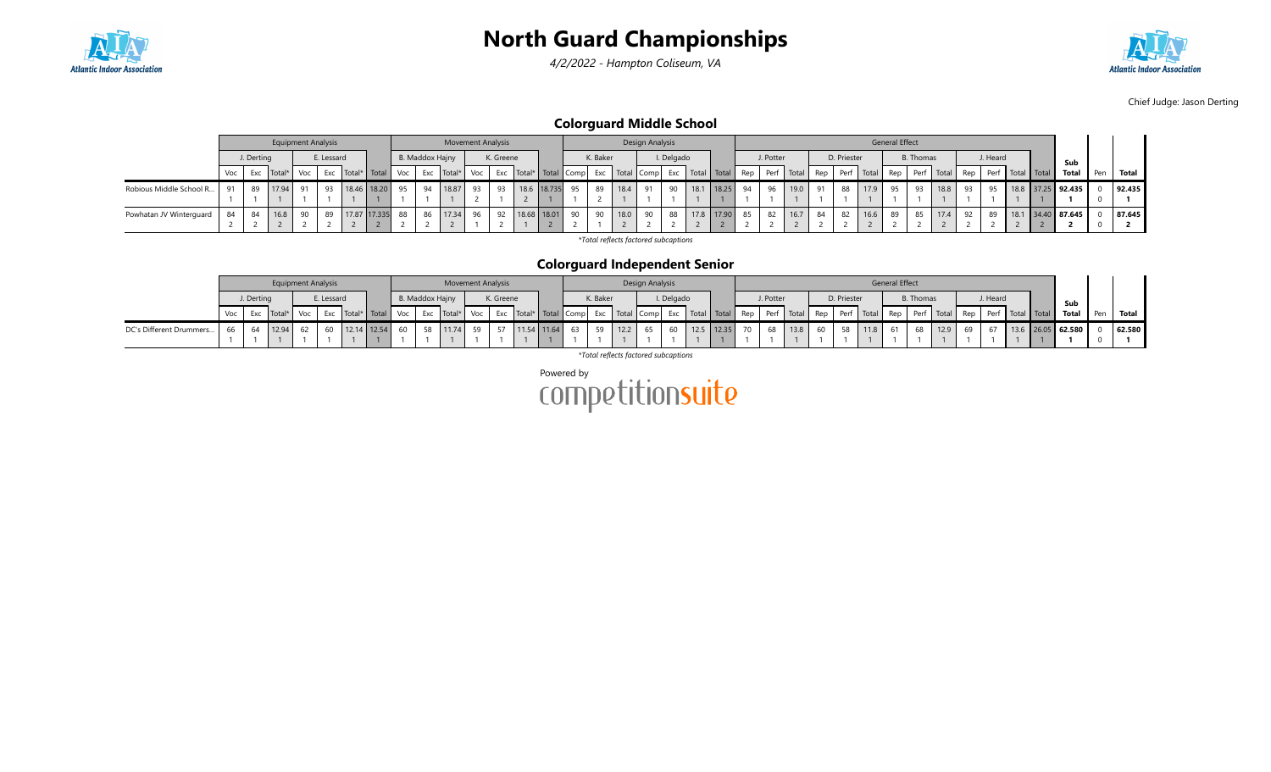

4/2/2022 - Hampton Coliseum, VA



Chief Judge: Jason Derting

Colorguard Middle School

|                         |    |            | <b>Equipment Analysis</b> |     |            |                 |                 | <b>Movement Analysis</b>                                                                                                                      |       |           |                |          |      | Design Analysis |            |      |            |    |           |      |    |             |      | <b>General Effect</b> |           |      |    |          |                                                    |                   |     |        |
|-------------------------|----|------------|---------------------------|-----|------------|-----------------|-----------------|-----------------------------------------------------------------------------------------------------------------------------------------------|-------|-----------|----------------|----------|------|-----------------|------------|------|------------|----|-----------|------|----|-------------|------|-----------------------|-----------|------|----|----------|----------------------------------------------------|-------------------|-----|--------|
|                         |    | J. Derting |                           |     | E. Lessard |                 | B. Maddox Hajny |                                                                                                                                               |       | K. Greene |                | K. Baker |      |                 | I. Delgado |      |            |    | J. Potter |      |    | D. Priester |      |                       | B. Thomas |      |    | J. Heard |                                                    | Sub               |     |        |
|                         |    |            | Voc Exc Total*            | Voc |            |                 |                 | Exc   Total*   Total   Voc   Exc   Total*   Voc   Exc   Total*   Total   Comp   Exc   Total   Comp   Exc   Total   Total   Rep   Perf   Total |       |           |                |          |      |                 |            |      |            |    |           |      |    |             |      |                       |           |      |    |          | Rep Perf Total Rep Perf Total Rep Perf Total Total | Total             | Pen | Total  |
| Robious Middle School R | 91 | 89         | 17.94                     | 91  | 93         | 18.46 18.20 95  | 94              | 18.87                                                                                                                                         | 93 93 |           | 18.6 18.735 95 | 89       | 18.4 | 91              | 90         | 18.1 | 18.25      | 94 | 96        | 19.0 | 91 | 88          | 17.9 | 95                    |           | 18.8 | 93 | 95       |                                                    | 18.8 37.25 92.435 |     | 92.435 |
|                         |    |            |                           |     |            |                 |                 |                                                                                                                                               |       |           |                |          |      |                 |            |      |            |    |           |      |    |             |      |                       |           |      |    |          |                                                    |                   |     |        |
| Powhatan JV Winterguard | 84 | 84         | 16.8                      |     | 89         | 17.87 17.335 88 | 86              | 17.34 96                                                                                                                                      |       | 92        | 18.68 18.01 90 | 90       | 18.0 | 90              | 88         |      | 17.8 17.90 | 85 | 82        | 16.7 | 84 | 82          | 16.6 | 89                    | 85        | 17.4 | 92 | 89       |                                                    | 18.1 34.40 87.645 |     | 87.645 |
|                         |    |            |                           |     |            |                 |                 |                                                                                                                                               |       |           |                |          |      |                 |            |      |            |    |           |      |    |             |      |                       |           |      |    |          |                                                    |                   |     |        |

\*Total reflects factored subcaptions

#### Colorguard Independent Senior

|                         |            | <b>Equipment Analysis</b> |    |            |                   |                 | <b>Movement Analysis</b> |           |  |          | Design Analysis |            |  |           |                          |             | <b>General Effect</b> |                  |            |          |  |                                                                                                                                                                                                                               |       |        |
|-------------------------|------------|---------------------------|----|------------|-------------------|-----------------|--------------------------|-----------|--|----------|-----------------|------------|--|-----------|--------------------------|-------------|-----------------------|------------------|------------|----------|--|-------------------------------------------------------------------------------------------------------------------------------------------------------------------------------------------------------------------------------|-------|--------|
|                         | J. Derting |                           |    | E. Lessard |                   | B. Maddox Hajny |                          | K. Greene |  | K. Baker |                 | I. Delgado |  | J. Potter |                          | D. Priester |                       | <b>B.</b> Thomas |            | J. Heard |  | Sub                                                                                                                                                                                                                           |       |        |
|                         |            |                           |    |            |                   |                 |                          |           |  |          |                 |            |  |           |                          |             |                       |                  |            |          |  | Voc Exc Total* Voc Exc Total* Total* Total Voc Exc Total* Voc Exc Total* Total Compl Exc Total Compl Exc Total Total Total Total Rep Perf Total Rep Perf Total Rep Perf Total Rep Perf Total Rep Perf Total Total Total Total | Pen l | Total  |
| DC's Different Drummers |            | 66 64 12.94               | 62 |            | 60 12.14 12.54 60 |                 |                          |           |  |          | 65              |            |  |           | 60 12.5 12.35 70 68 13.8 | 60 58       | 11.8 61               |                  | 68 12.9 69 |          |  | 13.6 26.05 62.580                                                                                                                                                                                                             |       | 62.580 |
|                         |            |                           |    |            |                   |                 |                          |           |  |          |                 |            |  |           |                          |             |                       |                  |            |          |  |                                                                                                                                                                                                                               |       |        |

\*Total reflects factored subcaptions

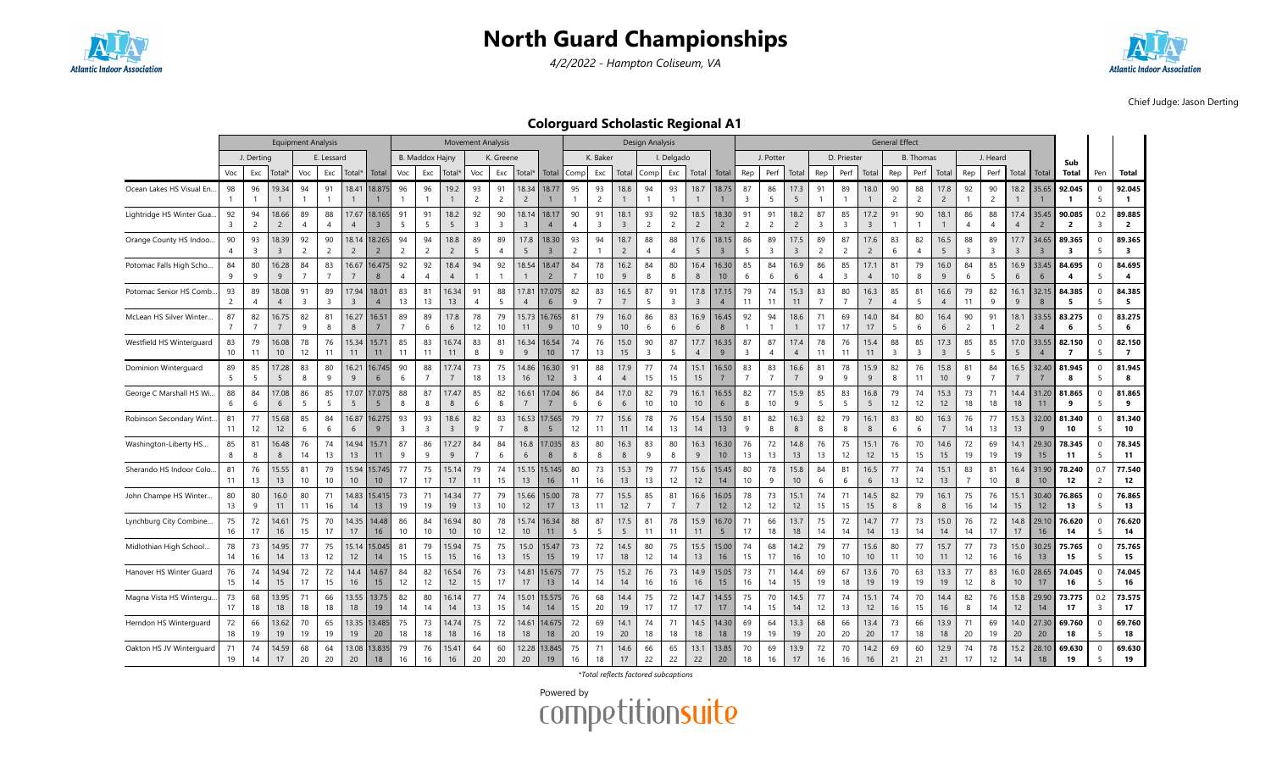

4/2/2022 - Hampton Coliseum, VA



Chief Judge: Jason Derting

Colorguard Scholastic Regional A1

|                           |                      |                               |                         | <b>Equipment Analysis</b> |                      |                                  |                           |                               |                        |                        | <b>Movement Analysis</b> |                      |                                  |                           |                      |                      |                        | Design Analysis      |                               |                        |                         |                      |                      |                         |                      |                               |                        | <b>General Effect</b> |                      |                         |                      |                      |                        |                         |                            |                                |                                   |
|---------------------------|----------------------|-------------------------------|-------------------------|---------------------------|----------------------|----------------------------------|---------------------------|-------------------------------|------------------------|------------------------|--------------------------|----------------------|----------------------------------|---------------------------|----------------------|----------------------|------------------------|----------------------|-------------------------------|------------------------|-------------------------|----------------------|----------------------|-------------------------|----------------------|-------------------------------|------------------------|-----------------------|----------------------|-------------------------|----------------------|----------------------|------------------------|-------------------------|----------------------------|--------------------------------|-----------------------------------|
|                           |                      | J. Derting                    |                         |                           | E. Lessard           |                                  |                           |                               | <b>B. Maddox Hainy</b> |                        |                          | K. Greene            |                                  |                           |                      | K. Baker             |                        |                      | I. Delgado                    |                        |                         |                      | J. Potter            |                         |                      | D. Priester                   |                        |                       | <b>B.</b> Thomas     |                         |                      | J. Heard             |                        |                         | Sub                        |                                |                                   |
|                           | Voc                  | Exc                           | Total*                  | Voc                       | Exc                  | Total*                           | Total                     | Voc                           | Exc                    | Total'                 | Voc                      | Exc                  | Total*                           | Total                     | Comp                 | Exc                  | Total                  | Comp                 | Exc                           | Total                  | Total                   | Rep                  | Perf                 | Total                   | Rep                  | Perf                          | Total                  | Rep                   | Perf                 | Total                   | Rep                  | Perf                 | Total                  | Total                   | Total                      | Pen                            | Total                             |
| Ocean Lakes HS Visual En  | 98                   | 96                            | 19.34                   | 94                        | 91                   | 18.41                            | 18.875                    | 96                            | 96<br>$\mathbf{1}$     | 19.2                   | 93<br>$\overline{2}$     | 91<br>$\overline{c}$ | 18.34<br>$\overline{2}$          | 18.77                     | 95                   | 93<br>$\overline{2}$ | 18.8                   | 94                   | 93                            | 18.7                   | 18.75                   | 87<br>3              | 86<br>5              | 17.3<br>5               | 91                   | 89                            | 18.0                   | 90<br>$\overline{2}$  | 88<br>$\overline{2}$ | 17.8<br>$\overline{2}$  | 92                   | 90<br>$\overline{c}$ | 18.2                   | 35.65                   | 92.045<br>-1               | $\mathbf 0$<br>5               | 92.045<br>$\mathbf{1}$            |
| Lightridge HS Winter Gua. | 92<br>3              | 94<br>$\overline{2}$          | 18.66<br>2              | 89<br>$\overline{A}$      | 88<br>$\overline{A}$ | 17.67<br>$\overline{A}$          | 18.165<br>$\overline{3}$  | 91<br>- 5                     | 91<br>5                | 18.2<br>5              | 92<br>$\overline{3}$     | 90<br>$\overline{3}$ | 18.14<br>$\overline{\mathbf{3}}$ | 18.17<br>$\overline{4}$   | 90<br>$\overline{4}$ | 91<br>$\overline{3}$ | 18.1<br>$\overline{3}$ | 93<br>$\overline{2}$ | 92<br>$\overline{2}$          | 18.5<br>$\overline{2}$ | 18.30<br>$\overline{2}$ | 91<br>$\overline{2}$ | 91<br>$\overline{2}$ | 18.2<br>$\overline{2}$  | 87<br>$\overline{3}$ | 85<br>$\overline{\mathbf{3}}$ | 17.2<br>$\overline{3}$ | 91<br>$\mathbf{1}$    | 90                   | 18.1                    | 86<br>$\overline{4}$ | 88<br>$\overline{4}$ | 17.4<br>$\overline{4}$ | 35.45<br>$\overline{2}$ | 90.085<br>2                | 0.2<br>$\overline{3}$          | 89.885<br>$\overline{2}$          |
| Orange County HS Indoo    | 90                   | 93<br>$\overline{\mathbf{3}}$ | 18.39<br>$\overline{3}$ | 92<br>2                   | 90<br>$\overline{2}$ | 18.14<br>$\overline{2}$          | 18.265<br>$\overline{2}$  | 94<br>$\overline{2}$          | 94<br>$\overline{2}$   | 18.8<br>$\overline{2}$ | 89<br>5                  | 89<br>$\overline{4}$ | 17.8<br>5                        | 18.30<br>$\overline{3}$   | 93<br>$\overline{2}$ | 94<br>$\mathbf{1}$   | 18.7<br>$\overline{2}$ | 88<br>$\overline{4}$ | 88<br>$\overline{\mathbf{A}}$ | 17.6<br>5              | 18.15<br>$\overline{3}$ | 86<br>5              | 89<br>3              | 17.5<br>$\overline{3}$  | 89<br>$\overline{2}$ | 87<br>$\overline{2}$          | 17.6<br>$\overline{2}$ | 83<br>6               | 82<br>$\overline{A}$ | 16.5<br>5               | 88<br>$\overline{3}$ | 89<br>$\overline{3}$ | 17.7<br>$\overline{3}$ | 34.65<br>$\overline{3}$ | 89.365<br>3                | $\Omega$<br>5                  | 89.365<br>$\overline{\mathbf{3}}$ |
| Potomac Falls High Scho   | 84<br>9              | 80<br>9                       | 16.28<br>9              | 84<br>$\overline{7}$      | 83<br>$\overline{7}$ | 16.67<br>$\overline{7}$          | 16.475<br>8               | 92<br>$\overline{4}$          | 92<br>$\overline{4}$   | 18.4<br>$\overline{4}$ | 94                       | 92                   | 18.54                            | 18.47<br>$\overline{2}$   | 84<br>$\overline{7}$ | 78<br>$10$           | 16.2<br>9              | 84<br>8              | 80<br>8                       | 16.4<br>8              | 16.30<br>10             | 85<br>6              | 84<br>6              | 16.9<br>6               | 86<br>$\overline{4}$ | 85<br>$\overline{\mathbf{3}}$ | 17.1<br>$\overline{4}$ | 81<br>10              | 79<br>8              | 16.0<br>9               | 84<br>6              | 85<br>5              | 16.9<br>6              | 33.45<br>6              | 84.695<br>$\boldsymbol{4}$ | 0<br>5                         | 84.695<br>4                       |
| Potomac Senior HS Comb.   | 93<br>$\overline{c}$ | 89<br>$\overline{4}$          | 18.08<br>$\overline{4}$ | 91<br>$\overline{3}$      | 89<br>$\overline{3}$ | 17.94<br>$\overline{\mathbf{3}}$ | 18.01<br>$\overline{4}$   | 83<br>13                      | 81<br>13               | 16.34<br>13            | 91<br>$\overline{4}$     | 88<br>5              | 17.8<br>$\overline{4}$           | 17.075<br>$6\phantom{1}6$ | 82<br>9              | 83<br>$\overline{7}$ | 16.5                   | 87<br>5              | 91<br>3                       | 17.8<br>$\overline{3}$ | 17.15<br>$\overline{4}$ | 79<br>11             | 74<br>11             | 15.3<br>11              | 83<br>$\overline{7}$ | 80                            | 16.3<br>$\overline{7}$ | 85<br>$\overline{4}$  | 81<br>5              | 16.6<br>$\overline{4}$  | 79<br>11             | 82<br>9              | 16.1<br>9              | 32.15<br>8              | 84.385<br>5                | 0<br>5                         | 84.385<br>5                       |
| McLean HS Silver Winter   | 87<br>$\overline{7}$ | 82<br>$\overline{7}$          | 16.75                   | 82<br>9                   | 81<br>8              | 16.27<br>8                       | 16.51                     | 89<br>$\overline{7}$          | 89<br>6                | 17.8<br>6              | 78<br>12                 | 79<br>10             | 15.73<br>11                      | 6.765<br>9                | 81<br>10             | 79<br>9              | 16.0<br>10             | 86<br>6              | 83<br>6                       | 16.9<br>6              | 16.45<br>8              | 92                   | 94                   | 18.6<br>$\mathbf{1}$    | 71<br>17             | 69<br>17                      | 14.0<br>17             | 84<br>5               | 80<br>6              | 16.4<br>6               | 90<br>$\overline{2}$ | 91                   | 18.1<br>$\overline{c}$ | 33.55<br>$\overline{4}$ | 83.275<br>-6               | $\mathbf 0$<br>-5              | 83.275<br>6                       |
| Westfield HS Winterguard  | 83<br>10             | 79<br>11                      | 16.08<br>10             | 78<br>12                  | 76<br>11             | 15.34<br>11                      | 15.71<br>11               | 85<br>11                      | 83<br>11               | 16.74<br>11            | 83<br>8                  | 81<br>-9             | 16.34<br>9                       | 16.54<br>10               | 74<br>17             | 76<br>13             | 15.0<br>15             | 90<br>$\overline{3}$ | 87<br>-5                      | 17.7<br>$\overline{4}$ | 16.35<br>9              | 87<br>3              | 87<br>$\overline{4}$ | 17.4<br>$\overline{4}$  | 78<br>11             | 76<br>11                      | 15.4<br>11             | 88<br>$\overline{3}$  | 85<br>$\overline{3}$ | 17.3<br>$\overline{3}$  | 85<br>-5             | 85<br>5              | 17.0<br>5              | 33.55<br>$\overline{4}$ | 82.150<br>$\overline{7}$   | $\mathbf 0$<br>-5              | 82.150<br>$\overline{7}$          |
| Dominion Winterquard      | 89<br>5              | 85<br>5                       | 17.28<br>5              | 83<br>8                   | 80<br>9              | 16.21<br>9                       | 16.745<br>6               | 90<br>6                       | 88<br>$\overline{7}$   | 17.74<br>7             | 73<br>18                 | 75<br>13             | 14.86<br>16                      | 16.30<br>12               | 91<br>3              | 88<br>$\overline{4}$ | 17.9<br>$\overline{A}$ | 77<br>15             | 74<br>15                      | 15.1<br>15             | 16.50<br>$\overline{7}$ | 83<br>$\overline{7}$ | 83<br>$\overline{7}$ | 16.6<br>$7\overline{ }$ | 81<br>9              | 78<br>-9                      | 15.9<br>9              | 82<br>8               | 76<br>11             | 15.8<br>10 <sup>°</sup> | 81<br>9              | 84                   | 16.5<br>$\overline{7}$ | 32.40<br>7              | 81.945<br>8                | $\Omega$<br>5                  | 81.945<br>8                       |
| George C Marshall HS Wi   | 88<br>6              | 84<br>6                       | 17.08<br>6              | 86<br>5                   | 85<br>5              | 17.07<br>5                       | 17.075<br>5               | 88<br>8                       | 87<br>8                | 17.47<br>8             | 85<br>6                  | 82<br>8              | $16.6^{\circ}$<br>$\overline{7}$ | 17.04<br>$\overline{7}$   | 86<br>6              | 84<br>6              | 17.0<br>6              | 82<br>10             | 79<br>10                      | 16.1<br>10             | 16.55<br>6              | 82<br>8              | 77<br>10             | 15.9<br>9               | 85<br>5              | 83<br>5                       | 16.8<br>5              | 79<br>12              | 74<br>12             | 15.3<br>12 <sup>2</sup> | 73<br>18             | 71<br>18             | 14.4<br>18             | 31.20<br>11             | 81.865<br>9                | $\mathbf 0$<br>5               | 81.865<br>9                       |
| Robinson Secondary Wint.  | 81<br>11             | 77<br>12                      | 15.68<br>12             | 85<br>6                   | 84<br>6              | 16.87<br>6                       | 16.275<br>9               | 93<br>$\overline{\mathbf{3}}$ | 93<br>3                | 18.6<br>$\overline{3}$ | 82<br>9                  | 83<br>$\overline{7}$ | 16.53<br>8                       | 7.565<br>5                | 79<br>12             | 77<br>11             | 15.6<br>11             | 78<br>14             | 76<br>13                      | 15.4<br>14             | 15.50<br>13             | 81<br>9              | 82<br>8              | 16.3<br>8               | 82<br>8              | 79<br>8                       | 16.1<br>8              | 83<br>6               | 80<br>6              | 16.3<br>$7\overline{ }$ | 76<br>14             | 77<br>13             | 15.3<br>13             | 32.00<br>9              | 81.340<br>10               | $\Omega$<br>-5                 | 81.340<br>10                      |
| Washington-Liberty HS     | 85<br>8              | 81<br>8                       | 16.48<br>8              | 76<br>14                  | 74<br>13             | 14.94<br>13                      | 15.71<br>11               | 87<br>9                       | 86<br>9                | 17.27<br>9             | 84                       | 84<br>6              | 16.8<br>6                        | 7.035<br>8                | 83<br>8              | 80<br>8              | 16.3<br>8              | 83<br>9              | 80<br>8                       | 16.3<br>9              | 16.30<br>10             | 76<br>13             | 72<br>13             | 14.8<br>13              | 76<br>13             | 75<br>12                      | 15.1<br>12             | 76<br>15              | 70<br>15             | 14.6<br>15              | 72<br>19             | 69<br>19             | 14.1<br>19             | 29.30<br>15             | 78.345<br>11               | 0<br>-5                        | 78.345<br>11                      |
| Sherando HS Indoor Colo.  | 81<br>11             | 76<br>13                      | 15.55<br>13             | 81<br>10                  | 79<br>10             | 15.94<br>10 <sup>°</sup>         | 15.745<br>10 <sup>°</sup> | 77<br>17                      | 75<br>17               | 15.14<br>17            | 79<br>11                 | 74<br>15             | 15.15<br>13                      | 5.145<br>16               | 80<br>11             | 73<br>16             | 15.3<br>13             | 79<br>13             | 77<br>12                      | 15.6<br>12             | 15.45<br>14             | 80<br>10             | 78<br>9              | 15.8<br>10              | 84<br>6              | 81<br>6                       | 16.5<br>6              | 77<br>13              | 74<br>12             | 15.1<br>13              | 83<br>$\overline{7}$ | 81<br>10             | 16.4<br>8              | 31.90<br>10             | 78.240<br>12               | 0.7<br>$\overline{2}$          | 77.540<br>12                      |
| John Champe HS Winter     | 80<br>13             | 80<br>9                       | 16.0<br>11              | 80<br>11                  | 71<br>16             | 14.83<br>14                      | 15.415<br>13              | 73<br>19                      | 71<br>19               | 14.34<br>19            | 77<br>13                 | 79<br>10             | 15.66<br>12                      | 15.00<br>17               | 78<br>13             | 77<br>11             | 15.5<br>12             | 85                   | 81                            | 16.6<br>$\overline{7}$ | 16.05<br>12             | 78<br>12             | 73<br>12             | 15.1<br>12              | 74<br>15             | 71<br>15                      | 14.5<br>15             | 82<br>8               | 79<br><sup>8</sup>   | 16.1<br>8               | 75<br>16             | 76<br>14             | 15.1<br>15             | 30.40<br>12             | 76.865<br>13               | $\mathbf 0$<br>-5              | 76.865<br>13                      |
| Lynchburg City Combine    | 75<br>16             | 72<br>17                      | 14.61<br>16             | 75<br>15                  | 70<br>17             | 14.35<br>17                      | 14.48<br>16               | 86<br>10                      | 84<br>10               | 16.94<br>10            | 80<br>10                 | 78<br>12             | 15.74<br>10                      | 16.34<br>11               | 88<br>5              | 87<br>5              | 17.5<br>5              | 81<br>11             | 78<br>11                      | 15.9<br>11             | 16.70<br>5 <sub>5</sub> | 71<br>17             | 66<br>18             | 13.7<br>18              | 75<br>14             | 72<br>14                      | 14.7<br>14             | 77<br>13              | 73<br>14             | 15.0<br>14              | 76<br>14             | 72<br>17             | 14.8<br>17             | 29.10<br>16             | 76.620<br>14               | $\mathbf 0$<br>5               | 76.620<br>14                      |
| Midlothian High School.   | 78<br>14             | 73<br>16                      | 14.95<br>14             | 77<br>13                  | 75<br>12             | 15.14<br>12                      | 15.045<br>14              | 81<br>15                      | 79<br>15               | 15.94<br>15            | 75<br>16                 | 75<br>13             | 15.0<br>15                       | 15.47<br>15               | 73<br>19             | 72<br>17             | 14.5<br>18             | 80<br>12             | 75<br>14                      | 15.5<br>13             | 15.00<br>16             | 74<br>15             | 68<br>17             | 14.2<br>16              | 79<br>10             | 77<br>10                      | 15.6<br>10             | 80<br>11              | 77<br>10             | 15.7<br>11              | 77<br>12             | 73<br>16             | 15.0<br>16             | 30.25<br>13             | 75.765<br>15               | $\mathbf 0$<br>5               | 75.765<br>15                      |
| Hanover HS Winter Guard   | 76<br>15             | 74<br>14                      | 14.94<br>15             | 72<br>17                  | 72<br>15             | 14.4<br>16                       | 14.67<br>15               | 84<br>12                      | 82<br>12               | 16.54<br>12            | 76<br>15                 | 73<br>17             | 14.8<br>17                       | 5.675<br>13               | 77<br>14             | 75<br>14             | 15.2<br>14             | 76<br>16             | 73<br>16                      | 14.9<br>16             | 15.05<br>15             | 73<br>16             | 71<br>14             | 14.4<br>15              | 69<br>19             | 67<br>18                      | 13.6<br>19             | 70<br>19              | 63<br>19             | 13.3<br>19              | 77<br>12             | 83<br>8              | 16.0<br>10             | 28.65<br>17             | 74.045<br>16               | 0<br>5                         | 74.045<br>16                      |
| Magna Vista HS Wintergu.  | 73<br>17             | 68<br>18                      | 13.95<br>18             | 71<br>18                  | 66<br>18             | 13.55<br>18                      | 13.75<br>19               | 82<br>14                      | 80<br>14               | 16.14<br>14            | 77<br>13                 | 74<br>15             | 15.0 <sup>°</sup><br>14          | 5.575<br>14               | 76<br>15             | 68<br>20             | 14.4<br>19             | 75<br>17             | 72<br>17                      | 14.7<br>17             | 14.55<br>17             | 75<br>14             | 70<br>15             | 14.5<br>14              | 77<br>12             | 74<br>13                      | 15.1<br>12             | 74<br>16              | 70<br>15             | 14.4<br>16              | 82<br>8              | 76<br>14             | 15.8<br>12             | 29.90<br>14             | 73.775<br>17               | 0.2<br>$\overline{\mathbf{3}}$ | 73.575<br>17                      |
| Herndon HS Winterguard    | 72<br>18             | 66<br>19                      | 13.62<br>19             | 70<br>19                  | 65<br>19             | 19                               | 13.35 13.485<br>20        | 75<br>18                      | 73<br>18               | 14.74<br>18            | 75<br>16                 | 72<br>18             | 14.61<br>18                      | 4.675<br>18               | 72<br>20             | 69<br>19             | 14.1<br>20             | 74<br>18             | 71<br>18                      | 14.5<br>18             | 14.30<br>18             | 69<br>19             | 64<br>19             | 13.3<br>19              | 68<br>20             | 66<br>20                      | 13.4<br>20             | 73<br>17              | 66<br>18             | 13.9<br>18              | 71<br>20             | 69<br>19             | 14.0<br>20             | 27.30<br>20             | 69.760<br>18               | $\Omega$<br>5                  | 69.760<br>18                      |
| Oakton HS JV Winterguard  | 71<br>19             | 74<br>14                      | 14.59<br>17             | 68<br>20                  | 64<br>20             | 20                               | 13.08 13.835<br>18        | 79<br>16                      | 76<br>16               | 15.41<br>16            | 64<br>20                 | 60<br>20             | 12.28<br>20                      | 3.845<br>19               | 75<br>16             | 71<br>18             | 14.6<br>17             | 66<br>22             | 65<br>22                      | 13.1<br>22             | 13.85<br>20             | 70<br>18             | 69<br>16             | 13.9<br>17              | 72<br>16             | 70<br>16                      | 14.2<br>16             | 69<br>21              | 60<br>21             | 12.9<br>21              | 74<br>17             | 78<br>12             | 15.2<br>14             | 28.10<br>18             | 69.630<br>19               | $\mathbf 0$<br>5               | 69.630<br>19                      |

\*Total reflects factored subcaptions

Powered by<br>COMPetitionsuite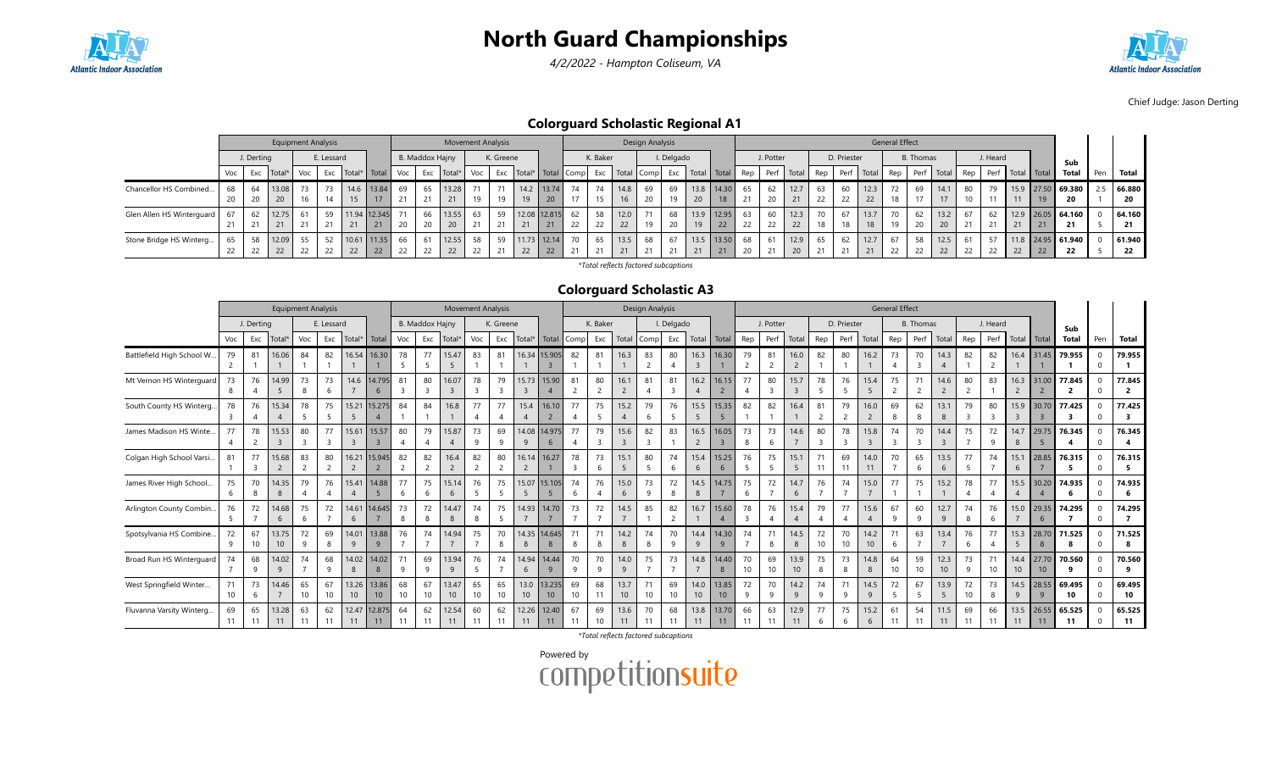

4/2/2022 - Hampton Coliseum, VA



Chief Judge: Jason Derting

Colorguard Scholastic Regional A1

|                           |        |            | <b>Equipment Analysis</b> |        |            |                      |            |              |                 | <b>Movement Analysis</b> |    |           |    |                           |        |          |                    | Design Analysis |                      |          |             |        |            |      |                |             |            | <b>General Effect</b> |               |      |     |          |                  |    |                     |     |        |
|---------------------------|--------|------------|---------------------------|--------|------------|----------------------|------------|--------------|-----------------|--------------------------|----|-----------|----|---------------------------|--------|----------|--------------------|-----------------|----------------------|----------|-------------|--------|------------|------|----------------|-------------|------------|-----------------------|---------------|------|-----|----------|------------------|----|---------------------|-----|--------|
|                           |        | J. Derting |                           |        | E. Lessard |                      |            |              | B. Maddox Hajny |                          |    | K. Greene |    |                           |        | K. Baker |                    |                 | I. Delgado           |          |             |        | J. Potter  |      |                | D. Priester |            |                       | B. Thomas     |      |     | J. Heard |                  |    | Sub                 |     |        |
|                           | Voc I  | Exc        | Total*                    | Voc    |            | Exc Total* Total Voc |            |              | Exc             | Total*                   |    |           |    | Voc Exc Total* Total Comp |        |          | Exc Total Comp Exc |                 |                      |          | Total Total | Rep    | Perf Total |      | Rep            |             | Perf Total | Rep                   | Perf Total    |      | Rep |          | Perf Total Total |    | Total               | Pen | Total  |
| Chancellor HS Combined    | 68     |            | 13.08                     | 73     | 73         |                      | 14.6 13.84 | 69           | 65              | 13.28                    |    | 71        |    | 14.2 13.74                | 74     | 74       | 14.8               | 69              | 69                   |          | 13.8 14.30  | 65     | 62         | 12.7 | 63             |             | 12.3       |                       | 69            | 14.1 | 80  | 79       |                  |    | 15.9 27.50 69.380   | 2.5 | 66.880 |
|                           | $\sim$ | $\Omega$   | 20                        |        | 14         | 15                   | 17         |              | 21              | 21                       |    |           |    | 20                        | 17     | 15       |                    | 20              | 10                   | $\Omega$ | 18          | $\sim$ | $\Omega$   | 21   | 22             | 22          | 22         | 18                    | $\rightarrow$ | 17   |     | 4.4      | 11               | 19 | 20                  |     | 20     |
| Glen Allen HS Winterguard | 67     |            | 12.75                     |        | 59         | 11.94 12.345         |            |              | 66              | 13.55                    | 63 | 59        |    | 12.08 12.815              | 62     | 58       | 12.0               | 71              | 68                   |          | 13.9 12.95  | 63     | 60         | 12.3 | $\overline{a}$ |             | 13.7       | 70                    | 62            | 13.2 |     | 62       |                  |    | $12.9$ 26.05 64.160 |     | 64.160 |
|                           | 21     |            | 21                        | 21     | 21         | 21                   | 21         | $\sim$       | 20              | 20                       |    | 21        | 21 | 21                        | 22     | 22       | 22                 | 10              | n <sub>0</sub><br>∠∪ | 19       | 22          | 22     | 22         | 22   | 10             | 10          | 18         | 19                    | $\Omega$      | 20   | 24  |          | 21               |    | 21                  |     |        |
| Stone Bridge HS Winterg   | 65     | 58         | 12.09                     | 55     | 52         | 10.61 11.35          |            |              |                 | 12.55                    | 58 | 59        |    | 11.73 12.14               | 70     | 65       | 13.5               | 68              | 67                   |          | 13.5 13.50  | 68     | 61         | 12.9 | 65             |             | 12.7       |                       | 58            | 12.5 |     |          |                  |    | $11.8$ 24.95 61.940 |     | 61.940 |
|                           | 22     | $\sim$     | 22                        | $\sim$ | 22         | 22                   | 22         | $\sim$<br>22 | 22              | 22                       | ŽŹ | 21        | 22 | 22                        | $\sim$ | $\sim$   |                    | 21              | 21                   | 21       | 21          | 20     | 21         | 20   | $\sim$         | 24          | 21         | 22                    | 22            | 22   | 22  | 22       | 22               | 22 | 22                  |     | 22     |

\*Total reflects factored subcaptions

#### Colorguard Scholastic A3

|                            |          |            |                    | <b>Equipment Analysis</b> |                      |                         |                          |          |                        | <b>Movement Analysis</b> |                      |           |                         |                           |                      |                      |                        | Design Analysis               |                        |                         |                          |                      |                      |                          |                      |             |                          | <b>General Effect</b> |                      |                         |                      |          |                        |                                |                        |              |                                   |
|----------------------------|----------|------------|--------------------|---------------------------|----------------------|-------------------------|--------------------------|----------|------------------------|--------------------------|----------------------|-----------|-------------------------|---------------------------|----------------------|----------------------|------------------------|-------------------------------|------------------------|-------------------------|--------------------------|----------------------|----------------------|--------------------------|----------------------|-------------|--------------------------|-----------------------|----------------------|-------------------------|----------------------|----------|------------------------|--------------------------------|------------------------|--------------|-----------------------------------|
|                            |          | J. Derting |                    |                           | E. Lessard           |                         |                          |          | <b>B. Maddox Hajny</b> |                          |                      | K. Greene |                         |                           |                      | K. Baker             |                        |                               | I. Delgado             |                         |                          |                      | J. Potter            |                          |                      | D. Priester |                          |                       | <b>B.</b> Thomas     |                         |                      | J. Heard |                        |                                | Sub                    |              |                                   |
|                            | Voc      | Exc        | Total <sup>®</sup> | Voc                       | Exc                  | Total*                  | Total                    | Voc      | Exc                    | Total                    | Voc                  | Exc       | Total*                  | Total                     | Comp                 | Exc                  | Total                  | Comp                          | Exc                    | Total                   | Total                    | Rep                  | Perf                 | Total                    | Rep                  | Perf        | Tota                     | Rep                   | Perf                 | Total                   | Rep                  | Perf     | Total                  | Total                          | <b>Total</b>           | Pen          | <b>Total</b>                      |
| Battlefield High School W. | 79       | 81         | 16.06              | 84                        | 82                   | 16.54                   | 16.30                    | 78       | 77                     | 15.47<br>5               | 83                   | 81        | 16.34                   | 15.905                    | 82                   | 81                   | 16.3                   | 83                            | 80                     | 16.3<br>$\overline{3}$  | 16.30                    | 79                   | 81<br>$\overline{2}$ | 16.0<br>$\overline{2}$   | 82                   | 80          | 16.2                     | 73                    | 70<br>$\overline{3}$ | 14.3                    | 82                   | 82       | 16.4                   | 31.45                          | 79.955                 | $\mathbf{0}$ | 79.955                            |
| Mt Vernon HS Winterguard   | 73       | 76         | 14.99<br>-5        | 73<br>8                   | 73<br>6              | 14.6                    | 14.795<br>-6             | 81       | 80                     | 16.07<br>3               | 78<br>$\overline{3}$ | 79<br>3   | 15.73<br>$\overline{3}$ | 15.90                     | 81<br>$\overline{2}$ | 80<br>$\overline{2}$ | 16.1<br>$\overline{2}$ | 81                            | 81                     | 16.2<br>4               | 16.15                    | 77                   | 80<br>$\overline{3}$ | 15.7<br>$\overline{3}$   | 78<br>5              | 76<br>-5    | 15.4<br>-5               | 75<br>$\overline{2}$  | 71<br>$\overline{2}$ | 14.6<br>$\overline{2}$  | 80<br>$\overline{2}$ | 83       | 16.3<br>$\overline{2}$ | 31.00                          | 77.845<br>$\mathbf{z}$ |              | 77.845<br>$\overline{2}$          |
| South County HS Winterg    | 78       | 76         | 15.34              | 78                        | 75<br>5              | 15.21<br>5              | 15.275                   | 84       | 84                     | 16.8                     | 77                   | 77        | 15.4                    | 16.10                     | 77                   | 75<br>-5             | 15.2<br>$\overline{4}$ | 79                            | 76                     | 15.5<br>-5              | 15.35<br>5               | 82                   | 82                   | 16.4                     | 81<br>$\overline{2}$ | 79          | 16.0                     | 69<br>8               | 62<br>8              | 13.1<br>8               | 79<br>$\overline{3}$ | 80       | 15.9<br>$\overline{3}$ | 30.70<br>$\overline{3}$        | 77.425<br>3            |              | 77.425<br>$\overline{\mathbf{z}}$ |
| James Madison HS Winte.    | 77       | 78         | 15.53              | 80                        | 77                   | 15.61<br>$\overline{3}$ | 15.57                    | 80       | 79                     | 15.87                    | 73<br>9              | 69<br>q   | 14.08<br>$\mathsf{q}$   | 14.975<br>6               | 77                   | 79                   | 15.6<br>$\overline{3}$ | 82<br>$\overline{\mathbf{3}}$ | 83                     | 16.5<br>$\overline{2}$  | 16.05                    | 73<br>8              | 73<br>6              | 14.6                     | 80<br>$\overline{3}$ | 78          | 15.8                     | 74<br>$\mathbf{R}$    | 70<br>3              | 14.4                    | 75                   | 72<br>q  | 14.7<br>8              | 29.75                          | 76.345                 |              | 76.345                            |
| Colgan High School Varsi.  | 81       | 77         | 15.68              | 83                        | 80                   | 16.21<br>$\overline{2}$ | 15.945                   | 82       | 82                     | 16.4                     | 82<br>$\overline{2}$ | 80        | 16.14<br>$\overline{2}$ | 16.27                     | 78                   | 73<br>6              | 15.1<br>5              | 80<br>5                       | 74<br>6                | 15.4<br>6               | 15.25<br>6               | 76                   | 75<br>-5             | 15.1<br>5                | 71<br>11             | 69<br>11    | 14.0<br>11               | 70                    | 65<br>6              | 13.5<br>6               | 77<br>-5             | 74       | 15.1<br>6              | 28.85                          | 76.315                 |              | 76.315<br>-5                      |
| James River High School.   | 75<br>6  | 70<br>8    | 14.35<br>8         | 79                        | 76<br>$\overline{4}$ | 15.41<br>$\overline{4}$ | 14.88                    | 77<br>6  | 75<br>-6               | 15.14<br>6               | 76<br>5              | 75        | 15.07<br>5              | 15.105<br>5               | 74<br>6              | 76<br>$\overline{A}$ | 15.0<br>6              | 73<br>9                       | 72<br>$\mathsf{R}$     | 8                       | 14.5 14.75               | 75<br>6              | 72<br>$\overline{7}$ | 14.7<br>6                | 76<br>$\overline{7}$ | 74          | 15.0                     | 77                    | 75                   | 15.2                    | 78<br>$\overline{4}$ | 77       | 15.5<br>$\overline{A}$ | 30.20<br>$\boldsymbol{\Delta}$ | 74.935<br>6            |              | 74.935<br>6                       |
| Arlington County Combin.   | 76       | 72         | 14.68<br>6         | 75<br>6                   | 72                   | 14.61<br>6              | 14,645                   | 73<br>8  | 72<br>8                | 14.47<br>8               | 74<br>8              | 75<br>-5  | 14.93<br>$\overline{ }$ | 14.70                     | 73                   | 72                   | 14.5                   | 85                            | 82                     | 16.7                    | 15.60<br>$\overline{4}$  | 78<br>$\overline{3}$ | 76<br>$\overline{4}$ | 15.4<br>$\overline{A}$   | 79                   | 77          | 15.6<br>$\overline{4}$   | 67<br>9               | 60<br>9              | 12.7<br>9               | 74<br>8              | 76<br>6  | 15.0                   | 29.35<br>6                     | 74.295<br>-7           |              | 74.295                            |
| Spotsylvania HS Combine.   | 9        | 67<br>10   | 13.75<br>10        | 72<br>q                   | 69<br>8              | 14.0<br>9               | 13.88<br>$\mathbf{q}$    | 76       | 74                     | 14.94                    | 75                   | 70<br>8   | 14.35<br>8              | 14.645<br>8               | 8                    | 8                    | 14.2<br>8              | 74                            | 70                     | 14.4<br>9               | 14.30<br>9               | 74                   | 71<br>8              | 14.5<br>8                | 72<br>10             | 70<br>10    | 14.2<br>10 <sup>10</sup> | -6                    | 63                   | 13.4                    | 76<br>$\epsilon$     | 77       | 15.3<br>5              | 28.70<br>8                     | 71.525                 |              | 71.525<br>-8                      |
| Broad Run HS Winterguard   | 74       | 68         | 14.02<br>9         | 74                        | 68                   | 14.02<br>8              | 14.02                    | 71       | 69<br>$\Omega$         | 13.94                    | 76<br>$\overline{5}$ | 74        | 14.94<br>6              | 14.44                     | 70                   | 70                   | 14.0<br>9              | 75                            | 73                     | 14.8                    | 14.40<br>8               | 70                   | 69<br>10             | 13.9<br>10 <sup>10</sup> | 75<br>8              | 73<br>-8    | 14.8<br>8                | 64                    | 59<br>10             | 12.3<br>10 <sup>°</sup> | 73<br>$\mathsf{q}$   | 71<br>10 | 14.4<br>10             | 27.70<br>10 <sup>10</sup>      | 70.560                 |              | 70.560<br>٩                       |
| West Springfield Winter    | 10       | 73<br>6    | 14.46              | 65<br>10                  | 67                   | 13.26<br>10             | 13.86<br>10 <sup>°</sup> | 68<br>10 | 67<br>10               | 13.47<br>10              | 65<br>10             | 65<br>10  | 13.0<br>10 <sup>°</sup> | 13.235<br>10 <sup>°</sup> | 69<br>10             | 68                   | 13.7<br>10             | 71<br>10                      | 69<br>10 <sup>10</sup> | 14.0<br>10 <sup>°</sup> | 13.85<br>10 <sup>°</sup> | 72<br>9              | 70<br>9              | 14.2<br>9                | 74<br>9              | 71<br>q     | 14.5<br>9                | 72<br>5               | 67<br>5              | 13.9<br>5               | 72<br>10             | 73       | 14.5<br>9              | 28.55<br>9                     | 69.495<br>10           |              | 69.495<br>10                      |
| Fluvanna Varsity Winterg.  | 69<br>11 | 65<br>11   | 13.28<br>11        | 63<br>11                  | 62<br>11             | 12.47<br>11             | 12.875<br>11             | 64<br>11 | 62<br>11               | 12.54<br>11              | 60<br>11             | 62<br>11  | 12.26<br>11             | 12.40<br>11               | 67<br>11             | 69<br>10             | 13.6<br>11             | 70<br>11                      | 68<br>11               | 13.8<br>11              | 13.70<br>11              | 66<br>11             | 63<br>11             | 12.9<br>11               | 77<br>6              | 75<br>6     | 15.2<br>6                | 61<br>11              | 54<br>11             | 11.5<br>11              | 69<br>11             | 66<br>11 | 13.5<br>11             | 26.55<br>11                    | 65.525<br>11           |              | 65.525<br>11                      |

\*Total reflects factored subcaptions

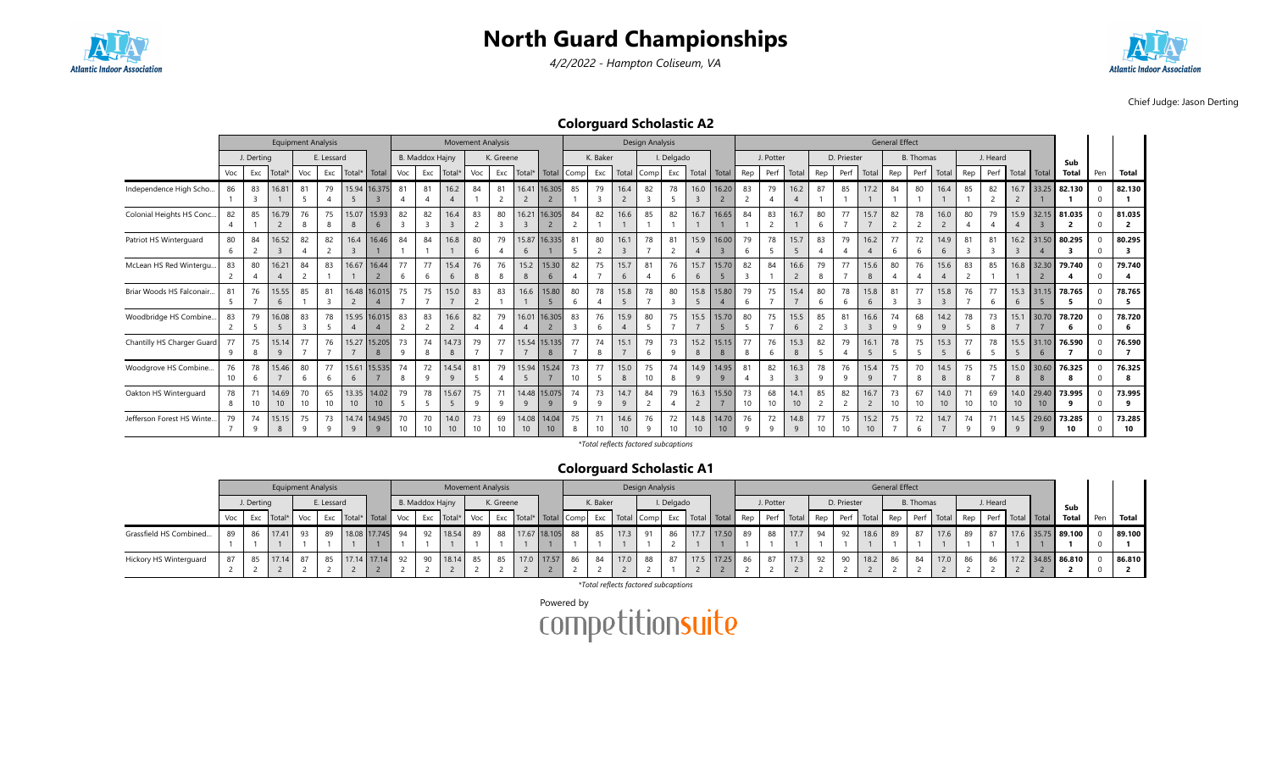





Chief Judge: Jason Derting

#### Colorguard Scholastic A2

|                            |                      |               |             | <b>Equipment Analysis</b> |            |                 |                   |          |                      | <b>Movement Analysis</b> |                       |                       |                         |                              |                      |          |                         | <b>Design Analysis</b> |            |                         |                          |          |                      |                        |          |                      |                          | <b>General Effect</b> |           |                       |                      |                    |                        |                           |                                    |     |              |
|----------------------------|----------------------|---------------|-------------|---------------------------|------------|-----------------|-------------------|----------|----------------------|--------------------------|-----------------------|-----------------------|-------------------------|------------------------------|----------------------|----------|-------------------------|------------------------|------------|-------------------------|--------------------------|----------|----------------------|------------------------|----------|----------------------|--------------------------|-----------------------|-----------|-----------------------|----------------------|--------------------|------------------------|---------------------------|------------------------------------|-----|--------------|
|                            |                      | J. Derting    |             |                           | E. Lessard |                 |                   |          | B. Maddox Hajny      |                          |                       | K. Greene             |                         |                              |                      | K. Baker |                         |                        | I. Delgado |                         |                          |          | J. Potter            |                        |          | D. Priester          |                          |                       | B. Thomas |                       |                      | J. Heard           |                        |                           | Sub                                |     |              |
|                            | Voc                  | Exc           | Total       | Voc                       | Exc        | Total*          | Total             | Voc      | Exc                  | Total*                   | Voc                   |                       | Exc Total*              | Total                        | Comp                 | Exc      | Total                   | Comp Exc               |            | Total                   | Total                    | Rep      | Perf                 | Total                  | Rep      | Perf                 | Total                    | Rep                   | Perf      | Total                 | Rep                  | Perf               | Total                  | Total                     | Total                              | Pen | <b>Total</b> |
| Independence High Scho     | 86                   | 83            | 16.81       | 81<br>5                   | 79         | 5               | 15.94 16.375      | 81       | 81<br>$\overline{4}$ | 16.2                     | 84                    | 81<br>$\overline{2}$  | 16.41<br>$\overline{2}$ | 16.305                       | 85                   | 79       | 16.4<br>$\overline{2}$  | 82                     | 78         | 16.0<br>$\overline{3}$  | 16.20                    | 83       | 79<br>$\overline{4}$ | 16.2                   | 87       | 85                   | 17.2                     | 84                    | 80        | 16.4                  | 85                   | 82                 | 16.7<br>$\overline{2}$ | 33.25                     | 82.130                             |     | 82.130       |
| Colonial Heights HS Conc   | 82                   | 85            | 16.79       | 76<br>8                   | 75         | 15.07<br>8      | 15.93<br>-6       | 82       | 82<br>$\overline{3}$ | 16.4<br>$\overline{3}$   | 83                    | 80<br>$\overline{3}$  | 16.21                   | 16.305                       | 84<br>$\overline{2}$ | 82       | 16.6                    | 85                     | 82         | 16.7                    | 16.65                    | 84       | 83<br>$\overline{2}$ | 16.7                   | 80<br>6  | 77                   | 15.7                     | 82                    | 78        | 16.0                  | 80                   | 79                 | 15.9                   | 32.15                     | 81.035<br>$\overline{\phantom{a}}$ |     | 81.035       |
| Patriot HS Winterguard     | 80                   | 84            | 16.52       | 82                        | 82         | 16.4            | 16.46             | 84       | 84                   | 16.8                     | 80                    | 79                    | 15.87<br>$\mathbf{b}$   | 16.335                       | 81                   | 80       | 16.1<br>$\overline{3}$  | 78                     | 81         | 15.9<br>$\overline{4}$  | 16.00                    | 79       | 78<br>5              | 15.7<br>5              | 83       | 79<br>$\overline{4}$ | 16.2                     | 77                    | 72        | 14.9<br>$\mathfrak b$ | 81<br>$\overline{3}$ | 81                 | 16.2                   | 31.50                     | 80.295                             |     | 80.295       |
| McLean HS Red Wintergu     | 83<br>$\overline{2}$ | 80            | 16.21       | 84<br>$\sim$              | 83         | 16.67           | 16.44             | 77       | 77<br>-6             | 15.4<br>6                | 76                    | 76<br>8               | 15.2                    | 15.30<br>6                   | 82                   | 75       | 15.7<br>6               | 81                     | 76         | 15.7<br>6               | 15.70                    | 82       | 84                   | 16.6                   | 79<br>8  | 77                   | 15.6<br>8                | 80                    | 76        | 15.6                  | 83<br>$\overline{2}$ | 85                 | 16.8                   | 32.30                     | 79.740                             |     | 79.740       |
| Briar Woods HS Falconair.  | 81<br>-5             | 76            | 15.55<br>6  | 85                        | 81         | 16.48           | 16.015            | 75       | 75                   | 15.0                     | 83                    | 83                    | 16.6                    | 15.80                        | 80<br>6              | 78       | 15.8<br>5               | 78                     | 80         | 15.8<br>5               | 15.80                    | 79       | 75                   | 15.4                   | 80<br>6  | 78<br>6              | 15.8<br>$\mathbf{b}$     | 81                    | 77        | 15.8                  | 76                   | 77<br><sub>6</sub> | 15.3<br>6              | 31.15                     | 78.765                             |     | 78.765       |
| Woodbridge HS Combine      | 83                   | 79            | 16.08       | 83                        | 78         |                 | 15.95 16.015      | 83       | 83                   | 16.6                     | 82                    | 79                    | 16.01                   | 6.305                        | 83                   | 76       | 15.9<br>$\overline{A}$  | 80                     | 75         | 15.5                    | 15.70                    | 80       | 75                   | 15.5<br>6              | 85       | 81<br>$\overline{3}$ | 16.6                     | 74                    | 68        | 14.2                  | 78                   | 73                 | 15.1                   | 30.70                     | 78.720                             |     | 78.720       |
| Chantilly HS Charger Guard | 77<br>9              | 75<br>8       | 15.14<br>9  | 77                        | 76         | 15.27           | 15.205<br>8       | 73       | 74<br>8              | 14.73<br>8               | 79                    | 77                    | 15.54                   | 15.135<br>8                  | 77                   | 74<br>8  | 15.1<br>$\overline{7}$  | 79<br>-6               | 73         | 15.2<br>8               | 15.15<br>8               | 77       | 76<br>6              | 15.3<br>8              | 82<br>5  | 79<br>$\overline{4}$ | 16.1<br>5                | 78                    | 75        | 15.3<br>5             | 77<br>6              | 78                 | 15.5<br>-5             | 31.10<br>6                | 76.590                             |     | 76.590       |
| Woodgrove HS Combine       | 76<br>10             | 78<br>-6      | 15.46       | 80<br>6                   | 77         | 15.61<br>6      | 15.535            | 74<br>8  | 72<br>9              | 14.54<br>9               | 81                    | 79<br>$\overline{4}$  | 15.94<br>5              | 15.24                        | 73<br>10             | 77       | 15.0<br>8               | 75<br>10               | 74         | 14.9<br>9               | 14.95<br>-9              | 81       | 82<br>$\overline{3}$ | 16.3<br>$\overline{3}$ | 78<br>9  | 76<br>9              | 15.4<br>9                | 75                    | 70<br>8   | 14.5<br>8             | 75<br>8              | 75                 | 15.0<br>8              | 30.60<br>8                | 76.325                             |     | 76.325       |
| Oakton HS Winterguard      | 78<br>8              | 10            | 14.69<br>10 | 70<br>10                  | 65<br>10   | 10 <sup>°</sup> | 13.35 14.02<br>10 | 79       | 78<br>5              | 15.67                    | 75                    | 71<br>$\mathsf{q}$    | 9                       | 14.48 15.075<br>$\mathbf{q}$ | 74<br>9              | 73<br>q  | 14.7<br>9               | 84                     | 79         | 16.3<br>2               | 15.50                    | 73<br>10 | 68<br>10             | 14.1<br>10             | 85       | 82<br>$\overline{2}$ | 16.7                     | 73<br>10              | 67<br>10  | 14.0<br>10            | 71<br>10             | 69<br>10           | 14.0<br>10             | 29.40<br>10 <sup>10</sup> | 73.995<br>۰q                       |     | 73.995       |
| Jefferson Forest HS Winte. | 79                   | 74<br>$\circ$ | 15.15       | 75<br>q                   | 73<br>Q    | 14.74<br>9      | 14.945<br>Q       | 70<br>10 | 70<br>10             | 14.0<br>10 <sup>°</sup>  | 73<br>10 <sup>1</sup> | 69<br>10 <sup>1</sup> | 14.08<br>10             | 14.04<br>10                  | 75<br>8              | 71<br>10 | 14.6<br>10 <sup>°</sup> | 76<br>$\mathsf{q}$     | 72<br>10   | 14.8<br>10 <sup>°</sup> | 14.70<br>10 <sup>1</sup> | 76       | 72<br>$\mathsf{q}$   | 14.8<br>9              | 77<br>10 | 75<br>10             | 15.2<br>10 <sup>10</sup> | 75                    | 72        | 14.7                  | 74<br>۰Q             | 71<br>$\Omega$     | 14.5<br>q              | 29.60<br>$\alpha$         | 73.285<br>10                       |     | 73.285<br>10 |

\*Total reflects factored subcaptions

#### Colorguard Scholastic A1

|                        |       |            | <b>Equipment Analysis</b> |    |            |                                     |    |                 | <b>Movement Analysis</b>                                                                                                                                                                                                       |    |           |            |                 |          |      | Design Analysis |            |               |           |      |    |             |      | <b>General Effect</b> |           |      |    |          |  |                   |     |        |
|------------------------|-------|------------|---------------------------|----|------------|-------------------------------------|----|-----------------|--------------------------------------------------------------------------------------------------------------------------------------------------------------------------------------------------------------------------------|----|-----------|------------|-----------------|----------|------|-----------------|------------|---------------|-----------|------|----|-------------|------|-----------------------|-----------|------|----|----------|--|-------------------|-----|--------|
|                        |       | J. Derting |                           |    | E. Lessard |                                     |    | B. Maddox Hajny |                                                                                                                                                                                                                                |    | K. Greene |            |                 | K. Baker |      |                 | I. Delgado |               | J. Potter |      |    | D. Priester |      |                       | B. Thomas |      |    | J. Heard |  | Sub               |     |        |
|                        | Voc l |            |                           |    |            | Exc Total* Voc Exc Total* Total Voc |    |                 | Exc   Total*   Voc   Exc   Total*   Total   Comp  Exc   Total   Comp  Exc   Total   Total   Rep   Perf   Total   Rep   Rep   Perf   Total   Rep   Perf   Total   Rep   Perf   Total   Rep   Perf   Total   Total   Total   Tot |    |           |            |                 |          |      |                 |            |               |           |      |    |             |      |                       |           |      |    |          |  | Total             | Pen | Total  |
| Grassfield HS Combined | 89    | 86         | 17.41                     | 93 | 89         | 18.08 17.745 94                     |    |                 | 92 18.54 89                                                                                                                                                                                                                    |    | 88        |            | 17.67 18.105 88 | 85       | 17.3 | 91              | 86         | 17.7 17.50 89 | 88        | 17.7 | 94 | 92          | 18.6 | 89                    |           | 17.6 | 89 | 87       |  | 17.6 35.75 89.100 |     | 89.100 |
|                        |       |            |                           |    |            |                                     |    |                 |                                                                                                                                                                                                                                |    |           |            |                 |          |      |                 |            |               |           |      |    |             |      |                       |           |      |    |          |  |                   |     |        |
| Hickory HS Winterguard |       |            | 17.14                     | 87 | 85         | 17.14 17.14                         | 92 |                 | 18.14                                                                                                                                                                                                                          | 85 | 85        | 17.0 17.57 | 86              | -84      | 17.0 | 88              | 87         | 17.5 17.25 86 | 87        | 17.3 | 92 | $\Omega$    | 18.2 | 86                    | 84 I      | 17.0 | 86 | 86       |  | 17.2 34.85 86.810 |     | 86.810 |
|                        |       |            |                           |    |            |                                     |    |                 |                                                                                                                                                                                                                                |    |           |            |                 |          |      |                 |            |               |           |      |    |             |      |                       |           |      |    |          |  |                   |     |        |

\*Total reflects factored subcaptions

Powered by<br>COMPetitionsuite